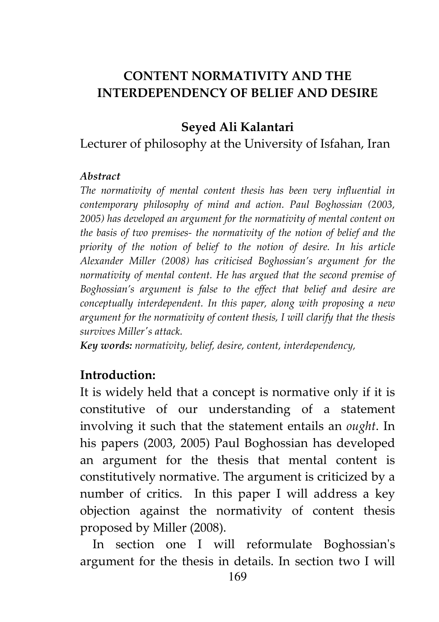# **CONTENT NORMATIVITY AND THE INTERDEPENDENCY OF BELIEF AND DESIRE**

### **Seyed Ali Kalantari**

### Lecturer of philosophy at the University of Isfahan, Iran

#### *Abstract*

*The normativity of mental content thesis has been very influential in contemporary philosophy of mind and action. Paul Boghossian (2003, 2005) has developed an argument for the normativity of mental content on the basis of two premises- the normativity of the notion of belief and the priority of the notion of belief to the notion of desire. In his article Alexander Miller (2008) has criticised Boghossian's argument for the normativity of mental content. He has argued that the second premise of Boghossian's argument is false to the effect that belief and desire are conceptually interdependent. In this paper, along with proposing a new argument for the normativity of content thesis, I will clarify that the thesis survives Miller's attack.* 

*Key words: normativity, belief, desire, content, interdependency,* 

#### **Introduction:**

It is widely held that a concept is normative only if it is constitutive of our understanding of a statement involving it such that the statement entails an *ought*. In his papers (2003, 2005) Paul Boghossian has developed an argument for the thesis that mental content is constitutively normative. The argument is criticized by a number of critics. In this paper I will address a key objection against the normativity of content thesis proposed by Miller (2008).

 In section one I will reformulate Boghossian's argument for the thesis in details. In section two I will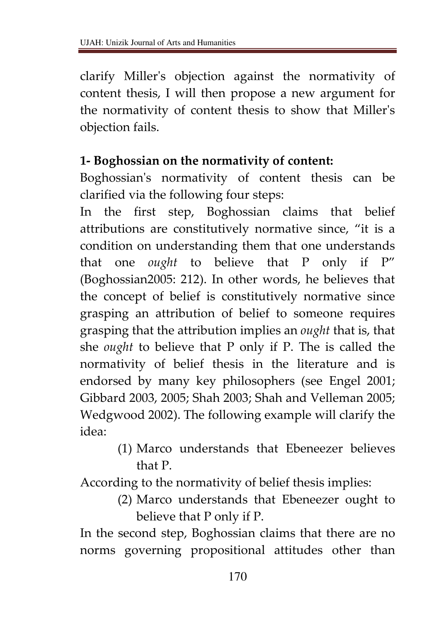clarify Miller's objection against the normativity of content thesis, I will then propose a new argument for the normativity of content thesis to show that Miller's objection fails.

### **1- Boghossian on the normativity of content:**

Boghossian's normativity of content thesis can be clarified via the following four steps:

In the first step, Boghossian claims that belief attributions are constitutively normative since, "it is a condition on understanding them that one understands that one *ought* to believe that P only if P" (Boghossian2005: 212). In other words, he believes that the concept of belief is constitutively normative since grasping an attribution of belief to someone requires grasping that the attribution implies an *ought* that is, that she *ought* to believe that P only if P. The is called the normativity of belief thesis in the literature and is endorsed by many key philosophers (see Engel 2001; Gibbard 2003, 2005; Shah 2003; Shah and Velleman 2005; Wedgwood 2002). The following example will clarify the idea:

> (1) Marco understands that Ebeneezer believes that P.

According to the normativity of belief thesis implies:

(2) Marco understands that Ebeneezer ought to believe that P only if P.

In the second step, Boghossian claims that there are no norms governing propositional attitudes other than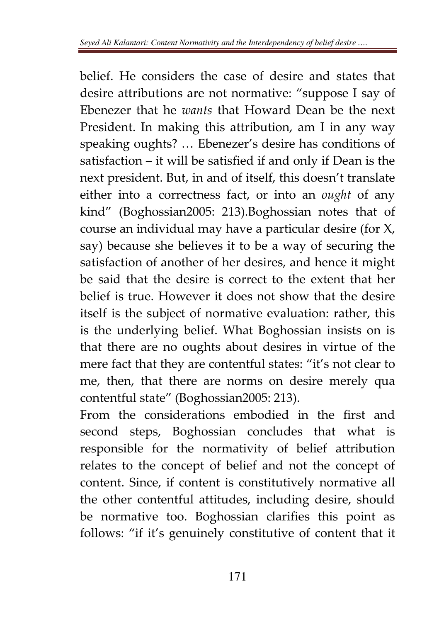belief. He considers the case of desire and states that desire attributions are not normative: "suppose I say of Ebenezer that he *wants* that Howard Dean be the next President. In making this attribution, am I in any way speaking oughts? … Ebenezer's desire has conditions of satisfaction – it will be satisfied if and only if Dean is the next president. But, in and of itself, this doesn't translate either into a correctness fact, or into an *ought* of any kind" (Boghossian2005: 213).Boghossian notes that of course an individual may have a particular desire (for X, say) because she believes it to be a way of securing the satisfaction of another of her desires, and hence it might be said that the desire is correct to the extent that her belief is true. However it does not show that the desire itself is the subject of normative evaluation: rather, this is the underlying belief. What Boghossian insists on is that there are no oughts about desires in virtue of the mere fact that they are contentful states: "it's not clear to me, then, that there are norms on desire merely qua contentful state" (Boghossian2005: 213).

From the considerations embodied in the first and second steps, Boghossian concludes that what is responsible for the normativity of belief attribution relates to the concept of belief and not the concept of content. Since, if content is constitutively normative all the other contentful attitudes, including desire, should be normative too. Boghossian clarifies this point as follows: "if it's genuinely constitutive of content that it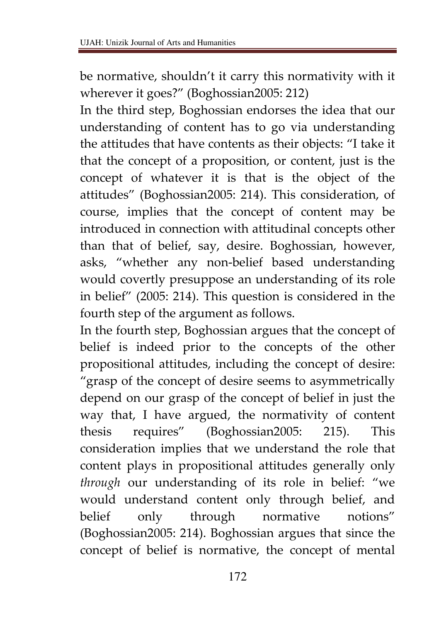be normative, shouldn't it carry this normativity with it wherever it goes?" (Boghossian2005: 212)

In the third step, Boghossian endorses the idea that our understanding of content has to go via understanding the attitudes that have contents as their objects: "I take it that the concept of a proposition, or content, just is the concept of whatever it is that is the object of the attitudes" (Boghossian2005: 214). This consideration, of course, implies that the concept of content may be introduced in connection with attitudinal concepts other than that of belief, say, desire. Boghossian, however, asks, "whether any non-belief based understanding would covertly presuppose an understanding of its role in belief" (2005: 214). This question is considered in the fourth step of the argument as follows.

In the fourth step, Boghossian argues that the concept of belief is indeed prior to the concepts of the other propositional attitudes, including the concept of desire: "grasp of the concept of desire seems to asymmetrically depend on our grasp of the concept of belief in just the way that, I have argued, the normativity of content thesis requires" (Boghossian2005: 215). This consideration implies that we understand the role that content plays in propositional attitudes generally only *through* our understanding of its role in belief: "we would understand content only through belief, and belief only through normative notions" (Boghossian2005: 214). Boghossian argues that since the concept of belief is normative, the concept of mental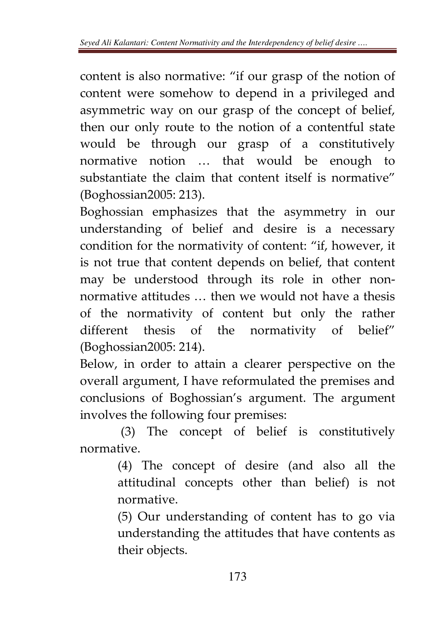content is also normative: "if our grasp of the notion of content were somehow to depend in a privileged and asymmetric way on our grasp of the concept of belief, then our only route to the notion of a contentful state would be through our grasp of a constitutively normative notion … that would be enough to substantiate the claim that content itself is normative" (Boghossian2005: 213).

Boghossian emphasizes that the asymmetry in our understanding of belief and desire is a necessary condition for the normativity of content: "if, however, it is not true that content depends on belief, that content may be understood through its role in other nonnormative attitudes … then we would not have a thesis of the normativity of content but only the rather different thesis of the normativity of belief" (Boghossian2005: 214).

Below, in order to attain a clearer perspective on the overall argument, I have reformulated the premises and conclusions of Boghossian's argument. The argument involves the following four premises:

 (3) The concept of belief is constitutively normative.

> (4) The concept of desire (and also all the attitudinal concepts other than belief) is not normative.

> (5) Our understanding of content has to go via understanding the attitudes that have contents as their objects.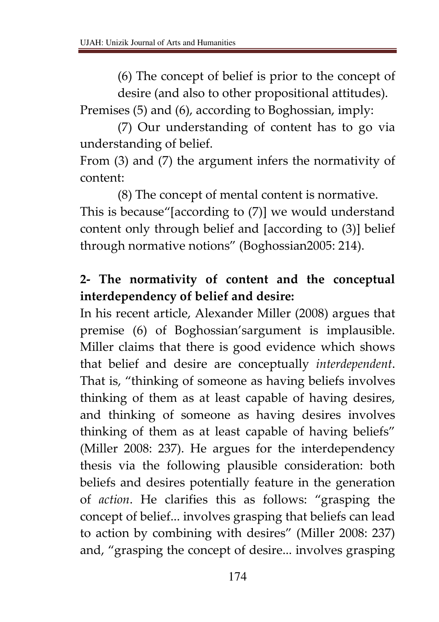(6) The concept of belief is prior to the concept of desire (and also to other propositional attitudes).

Premises (5) and (6), according to Boghossian, imply:

(7) Our understanding of content has to go via understanding of belief.

From (3) and (7) the argument infers the normativity of content:

(8) The concept of mental content is normative. This is because"[according to (7)] we would understand content only through belief and [according to (3)] belief through normative notions" (Boghossian2005: 214).

# **2- The normativity of content and the conceptual interdependency of belief and desire:**

In his recent article, Alexander Miller (2008) argues that premise (6) of Boghossian'sargument is implausible. Miller claims that there is good evidence which shows that belief and desire are conceptually *interdependent*. That is, "thinking of someone as having beliefs involves thinking of them as at least capable of having desires, and thinking of someone as having desires involves thinking of them as at least capable of having beliefs" (Miller 2008: 237). He argues for the interdependency thesis via the following plausible consideration: both beliefs and desires potentially feature in the generation of *action*. He clarifies this as follows: "grasping the concept of belief... involves grasping that beliefs can lead to action by combining with desires" (Miller 2008: 237) and, "grasping the concept of desire... involves grasping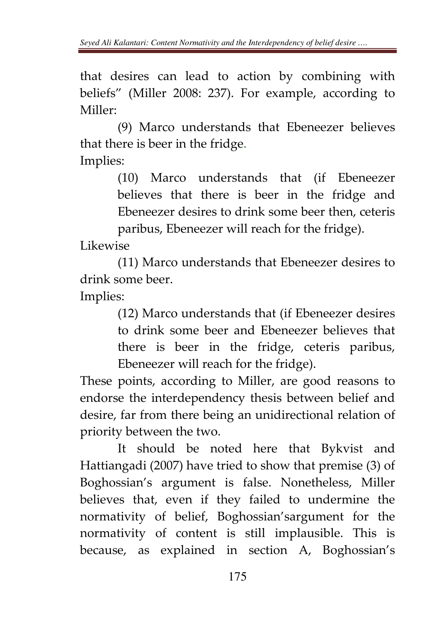that desires can lead to action by combining with beliefs" (Miller 2008: 237). For example, according to Miller:

 (9) Marco understands that Ebeneezer believes that there is beer in the fridge.

Implies:

(10) Marco understands that (if Ebeneezer believes that there is beer in the fridge and Ebeneezer desires to drink some beer then, ceteris paribus, Ebeneezer will reach for the fridge).

Likewise

(11) Marco understands that Ebeneezer desires to drink some beer.

Implies:

(12) Marco understands that (if Ebeneezer desires to drink some beer and Ebeneezer believes that there is beer in the fridge, ceteris paribus, Ebeneezer will reach for the fridge).

These points, according to Miller, are good reasons to endorse the interdependency thesis between belief and desire, far from there being an unidirectional relation of priority between the two.

It should be noted here that Bykvist and Hattiangadi (2007) have tried to show that premise (3) of Boghossian's argument is false. Nonetheless, Miller believes that, even if they failed to undermine the normativity of belief, Boghossian'sargument for the normativity of content is still implausible. This is because, as explained in section A, Boghossian's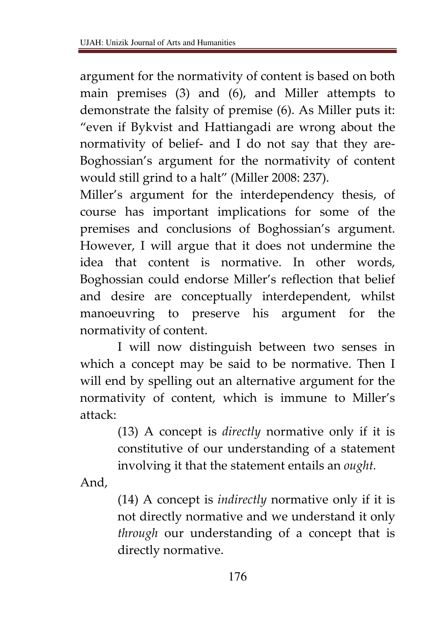argument for the normativity of content is based on both main premises (3) and (6), and Miller attempts to demonstrate the falsity of premise (6). As Miller puts it: "even if Bykvist and Hattiangadi are wrong about the normativity of belief- and I do not say that they are-Boghossian's argument for the normativity of content would still grind to a halt" (Miller 2008: 237).

Miller's argument for the interdependency thesis, of course has important implications for some of the premises and conclusions of Boghossian's argument. However, I will argue that it does not undermine the idea that content is normative. In other words, Boghossian could endorse Miller's reflection that belief and desire are conceptually interdependent, whilst manoeuvring to preserve his argument for the normativity of content.

I will now distinguish between two senses in which a concept may be said to be normative. Then I will end by spelling out an alternative argument for the normativity of content, which is immune to Miller's attack:

> (13) A concept is *directly* normative only if it is constitutive of our understanding of a statement involving it that the statement entails an *ought.*

And,

(14) A concept is *indirectly* normative only if it is not directly normative and we understand it only *through* our understanding of a concept that is directly normative.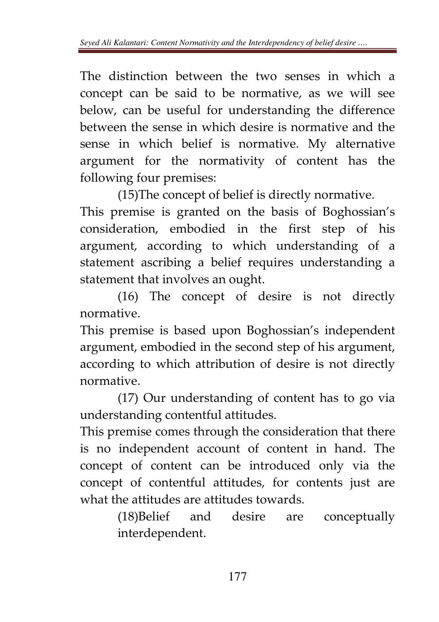The distinction between the two senses in which a concept can be said to be normative, as we will see below, can be useful for understanding the difference between the sense in which desire is normative and the sense in which belief is normative. My alternative argument for the normativity of content has the following four premises:

(15)The concept of belief is directly normative.

This premise is granted on the basis of Boghossian's consideration, embodied in the first step of his argument, according to which understanding of a statement ascribing a belief requires understanding a statement that involves an ought.

 (16) The concept of desire is not directly normative.

This premise is based upon Boghossian's independent argument, embodied in the second step of his argument, according to which attribution of desire is not directly normative.

(17) Our understanding of content has to go via understanding contentful attitudes.

This premise comes through the consideration that there is no independent account of content in hand. The concept of content can be introduced only via the concept of contentful attitudes, for contents just are what the attitudes are attitudes towards.

> (18)Belief and desire are conceptually interdependent.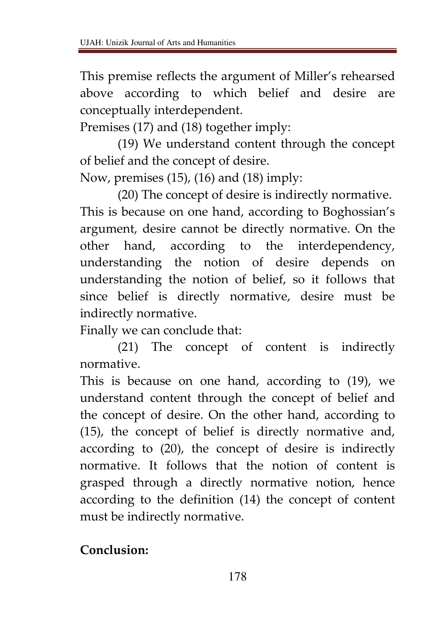This premise reflects the argument of Miller's rehearsed above according to which belief and desire are conceptually interdependent.

Premises (17) and (18) together imply:

(19) We understand content through the concept of belief and the concept of desire.

Now, premises (15), (16) and (18) imply:

(20) The concept of desire is indirectly normative. This is because on one hand, according to Boghossian's argument, desire cannot be directly normative. On the other hand, according to the interdependency, understanding the notion of desire depends on understanding the notion of belief, so it follows that since belief is directly normative, desire must be indirectly normative.

Finally we can conclude that:

(21) The concept of content is indirectly normative.

This is because on one hand, according to (19), we understand content through the concept of belief and the concept of desire. On the other hand, according to (15), the concept of belief is directly normative and, according to (20), the concept of desire is indirectly normative. It follows that the notion of content is grasped through a directly normative notion, hence according to the definition (14) the concept of content must be indirectly normative.

**Conclusion:**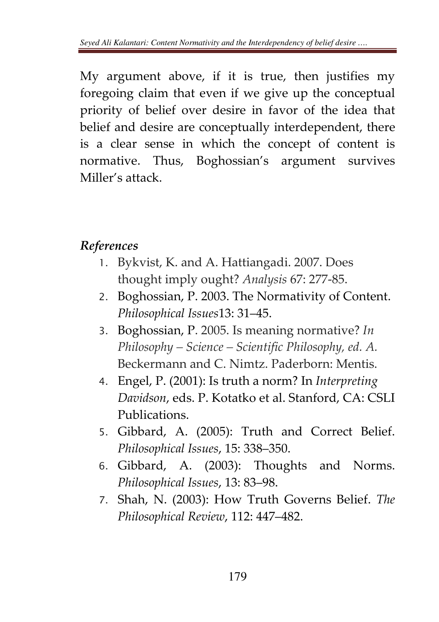My argument above, if it is true, then justifies my foregoing claim that even if we give up the conceptual priority of belief over desire in favor of the idea that belief and desire are conceptually interdependent, there is a clear sense in which the concept of content is normative. Thus, Boghossian's argument survives Miller's attack.

### *References*

- 1. Bykvist, K. and A. Hattiangadi. 2007. Does thought imply ought? *Analysis* 67: 277-85.
- 2. Boghossian, P. 2003. The Normativity of Content. *Philosophical Issues*13: 31–45.
- 3. Boghossian, P. 2005. Is meaning normative? *In Philosophy – Science – Scientific Philosophy, ed. A.*  Beckermann and C. Nimtz. Paderborn: Mentis.
- 4. Engel, P. (2001): Is truth a norm? In *Interpreting Davidson*, eds. P. Kotatko et al. Stanford, CA: CSLI Publications.
- 5. Gibbard, A. (2005): Truth and Correct Belief. *Philosophical Issues*, 15: 338–350.
- 6. Gibbard, A. (2003): Thoughts and Norms. *Philosophical Issues*, 13: 83–98.
- 7. Shah, N. (2003): How Truth Governs Belief. *The Philosophical Review*, 112: 447–482.